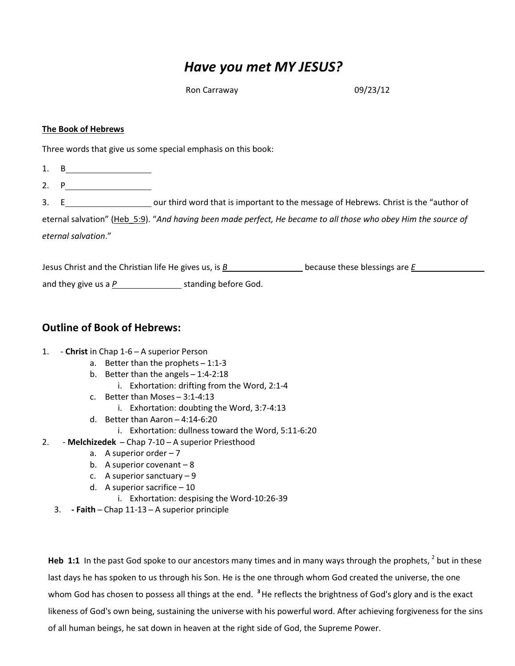# Have you met MY JESUS?

Ron Carraway 2009/23/12

### The Book of Hebrews

Three words that give us some special emphasis on this book:

- 1. B
- 2. P
- 3. E\_\_\_\_\_\_\_\_\_\_\_\_\_\_\_\_\_\_\_\_\_\_\_\_\_\_\_our third word that is important to the message of Hebrews. Christ is the "author of eternal salvation" (Heb 5:9). "And having been made perfect, He became to all those who obey Him the source of

eternal salvation."

Jesus Christ and the Christian life He gives us, is  $B$  because these blessings are  $E$ and they give us a  $P_1$  standing before God.

## Outline of Book of Hebrews:

### 1. - Christ in Chap 1-6 – A superior Person

- a. Better than the prophets  $-1:1-3$
- b. Better than the angels  $-1:4-2:18$ 
	- i. Exhortation: drifting from the Word, 2:1-4
- c. Better than Moses ̶ 3:1-4:13
	- i. Exhortation: doubting the Word, 3:7-4:13
- d. Better than Aaron  $-4:14-6:20$ 
	- i. Exhortation: dullness toward the Word, 5:11-6:20
- 2. Melchizedek Chap 7-10 A superior Priesthood
	- a. A superior order  $-7$
	- b. A superior covenant  $-8$
	- c. A superior sanctuary 9
	- d. A superior sacrifice 10
		- i. Exhortation: despising the Word-10:26-39
	- 3. Faith ̶ Chap 11-13 ̶ A superior principle

Heb 1:1 In the past God spoke to our ancestors many times and in many ways through the prophets,  $^2$  but in these last days he has spoken to us through his Son. He is the one through whom God created the universe, the one whom God has chosen to possess all things at the end. <sup>3</sup> He reflects the brightness of God's glory and is the exact likeness of God's own being, sustaining the universe with his powerful word. After achieving forgiveness for the sins of all human beings, he sat down in heaven at the right side of God, the Supreme Power.